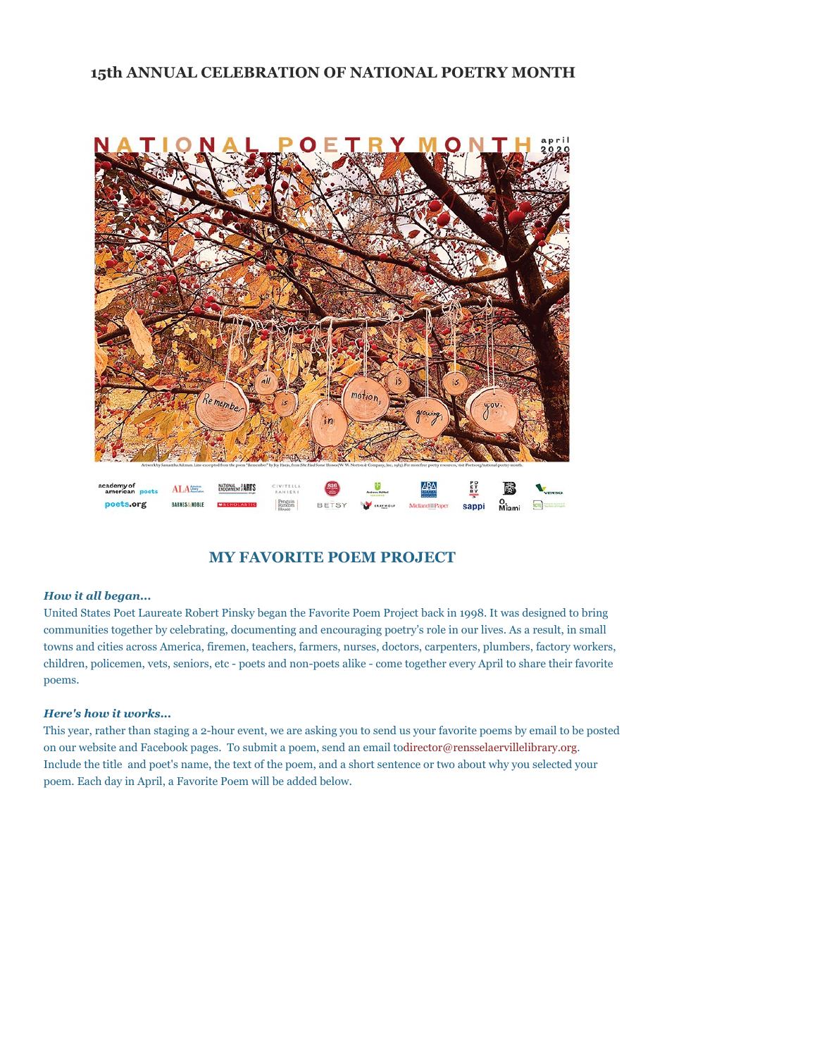# **15th ANNUAL CELEBRATION OF NATIONAL POETRY MONTH**



# **MY FAVORITE POEM PROJECT**

## *How it all began...*

United States Poet Laureate Robert Pinsky began the Favorite Poem Project back in 1998. It was designed to bring communities together by celebrating, documenting and encouraging poetry's role in our lives. As a result, in small towns and cities across America, firemen, teachers, farmers, nurses, doctors, carpenters, plumbers, factory workers, children, policemen, vets, seniors, etc - poets and non-poets alike - come together every April to share their favorite poems.

## *Here's how it works...*

This year, rather than staging a 2-hour event, we are asking you to send us your favorite poems by email to be posted on our website and Facebook pages. To submit a poem, send an email to[director@rensselaervillelibrary.org](mailto:director@rensselaervillelibrary.org). Include the title and poet's name, the text of the poem, and a short sentence or two about why you selected your poem. Each day in April, a Favorite Poem will be added below.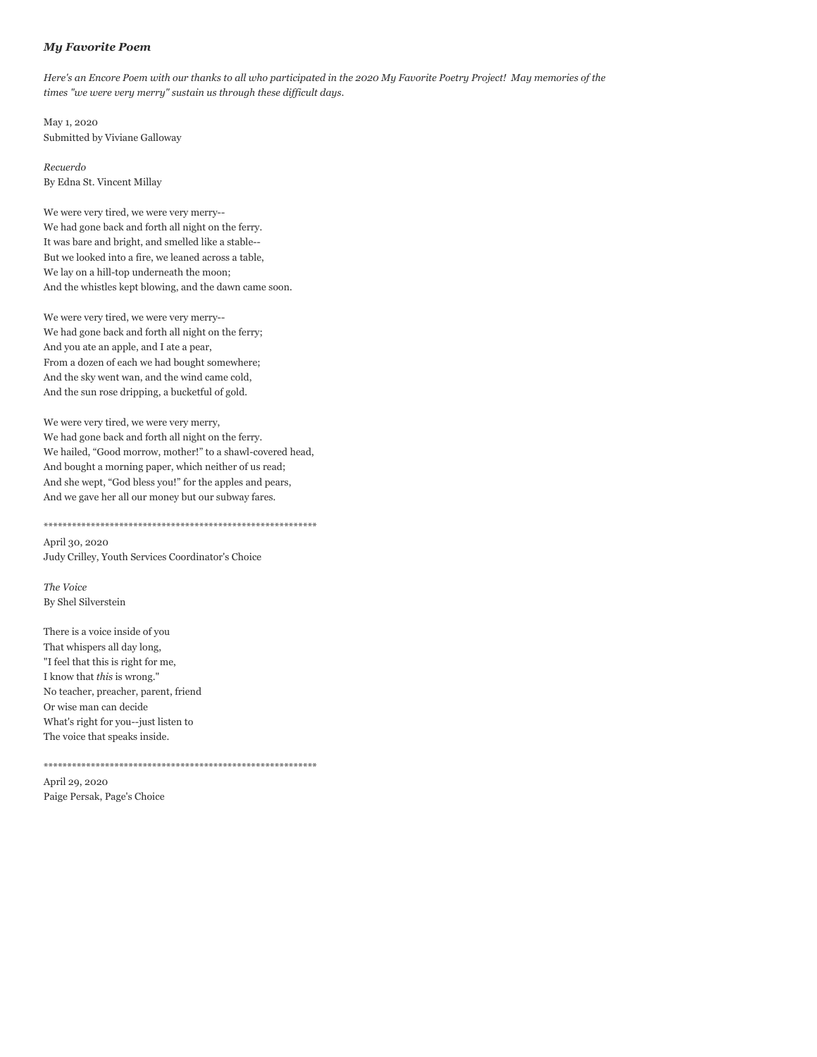### *My Favorite Poem*

*Here's an Encore Poem with our thanks to all who participated in the 2020 My Favorite Poetry Project! May memories of the times "we were very merry" sustain us through these difficult days.*

May 1, 2020 Submitted by Viviane Galloway

By Edna St. Vincent Millay *Recuerdo*

We were very tired, we were very merry-- We had gone back and forth all night on the ferry. It was bare and bright, and smelled like a stable-- But we looked into a fire, we leaned across a table, We lay on a hill-top underneath the moon; And the whistles kept blowing, and the dawn came soon.

We were very tired, we were very merry-- We had gone back and forth all night on the ferry; And you ate an apple, and I ate a pear, From a dozen of each we had bought somewhere; And the sky went wan, and the wind came cold, And the sun rose dripping, a bucketful of gold.

We were very tired, we were very merry, We had gone back and forth all night on the ferry. We hailed, "Good morrow, mother!" to a shawl-covered head, And bought a morning paper, which neither of us read; And she wept, "God bless you!" for the apples and pears, And we gave her all our money but our subway fares.

\*\*\*\*\*\*\*\*\*\*\*\*\*\*\*\*\*\*\*\*\*\*\*\*\*\*\*\*\*\*\*\*\*\*\*\*\*\*\*\*\*\*\*\*\*\*\*\*\*\*\*\*\*\*\*\*\*\*

April 30, 2020 Judy Crilley, Youth Services Coordinator's Choice

By Shel Silverstein *The Voice*

There is a voice inside of you That whispers all day long, "I feel that this is right for me, I know that *this* is wrong." No teacher, preacher, parent, friend Or wise man can decide What's right for you--just listen to The voice that speaks inside.

\*\*\*\*\*\*\*\*\*\*\*\*\*\*\*\*\*\*\*\*\*\*\*\*\*\*\*\*\*\*\*\*\*\*\*\*\*\*\*\*\*\*\*\*\*\*\*\*\*\*\*\*\*\*\*\*\*\*

April 29, 2020 Paige Persak, Page's Choice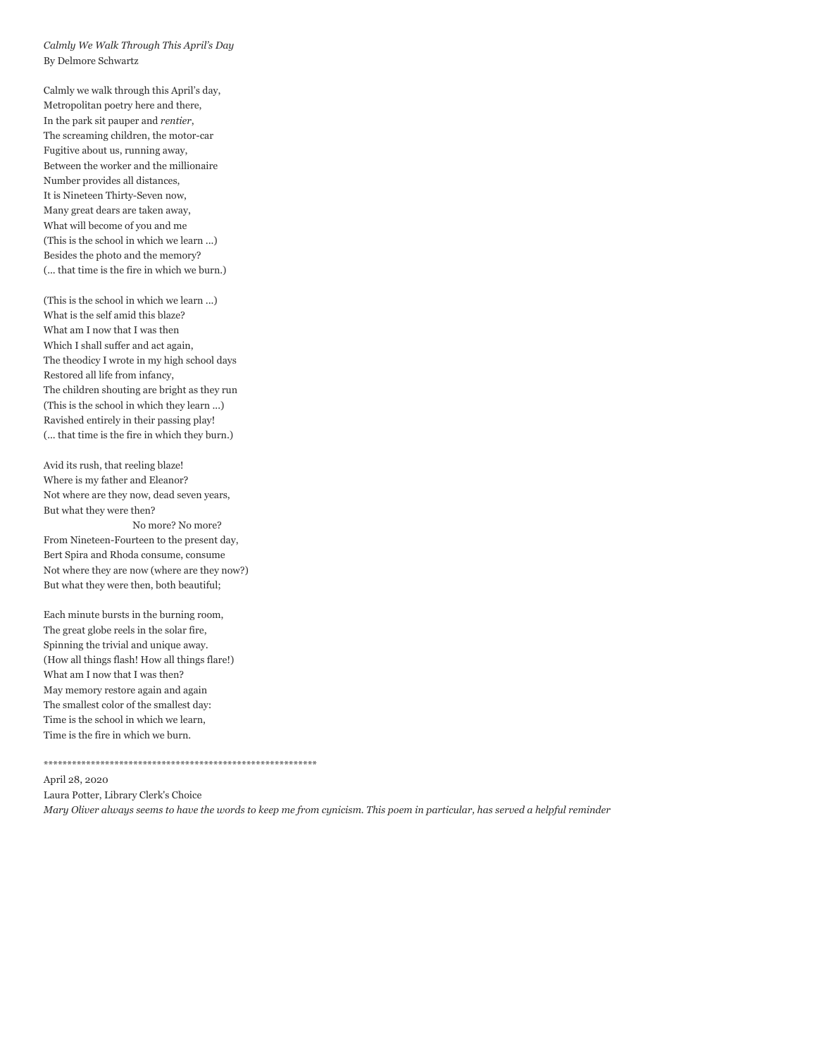By Delmore Schwartz *Calmly We Walk Through This April's Day*

Calmly we walk through this April's day, Metropolitan poetry here and there, In the park sit pauper and *rentier*, The screaming children, the motor-car Fugitive about us, running away, Between the worker and the millionaire Number provides all distances, It is Nineteen Thirty-Seven now, Many great dears are taken away, What will become of you and me (This is the school in which we learn ...) Besides the photo and the memory? (... that time is the fire in which we burn.)

(This is the school in which we learn ...) What is the self amid this blaze? What am I now that I was then Which I shall suffer and act again, The theodicy I wrote in my high school days Restored all life from infancy, The children shouting are bright as they run (This is the school in which they learn ...) Ravished entirely in their passing play! (... that time is the fire in which they burn.)

Avid its rush, that reeling blaze! Where is my father and Eleanor? Not where are they now, dead seven years, But what they were then? No more? No more? From Nineteen-Fourteen to the present day, Bert Spira and Rhoda consume, consume Not where they are now (where are they now?) But what they were then, both beautiful;

Each minute bursts in the burning room, The great globe reels in the solar fire, Spinning the trivial and unique away. (How all things flash! How all things flare!) What am I now that I was then? May memory restore again and again The smallest color of the smallest day: Time is the school in which we learn, Time is the fire in which we burn.

\*\*\*\*\*\*\*\*\*\*\*\*\*\*\*\*\*\*\*\*\*\*\*\*\*\*\*\*\*\*\*\*\*\*\*\*\*\*\*\*\*\*\*\*\*\*\*\*\*\*\*\*\*\*\*\*\*\*

April 28, 2020

Laura Potter, Library Clerk's Choice

*Mary Oliver always seems to have the words to keep me from cynicism. This poem in particular, has served a helpful reminder*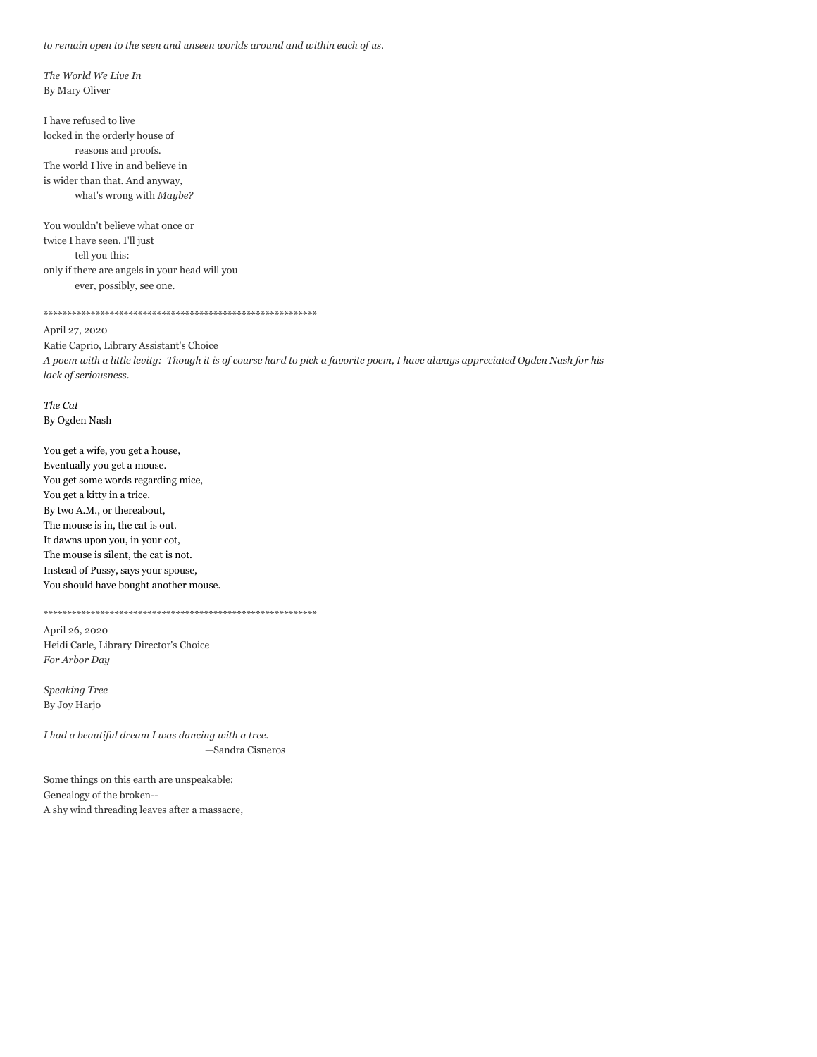*to remain open to the seen and unseen worlds around and within each of us.* 

By Mary Oliver *The World We Live In*

I have refused to live locked in the orderly house of reasons and proofs. The world I live in and believe in is wider than that. And anyway, what's wrong with *Maybe?*

You wouldn't believe what once or twice I have seen. I'll just tell you this: only if there are angels in your head will you ever, possibly, see one.

\*\*\*\*\*\*\*\*\*\*\*\*\*\*\*\*\*\*\*\*\*\*\*\*\*\*\*\*\*\*\*\*\*\*\*\*\*\*\*\*\*\*\*\*\*\*\*\*\*\*\*\*\*\*\*\*\*\*

April 27, 2020 Katie Caprio, Library Assistant's Choice *A poem with a little levity: Though it is of course hard to pick a favorite poem, I have always appreciated Ogden Nash for his lack of seriousness.*

By Ogden Nash *The Cat*

You get a wife, you get a house, Eventually you get a mouse. You get some words regarding mice, You get a kitty in a trice. By two A.M., or thereabout, The mouse is in, the cat is out. It dawns upon you, in your cot, The mouse is silent, the cat is not. Instead of Pussy, says your spouse, You should have bought another mouse.

\*\*\*\*\*\*\*\*\*\*\*\*\*\*\*\*\*\*\*\*\*\*\*\*\*\*\*\*\*\*\*\*\*\*\*\*\*\*\*\*\*\*\*\*\*\*\*\*\*\*\*\*\*\*\*\*\*\* April 26, 2020

Heidi Carle, Library Director's Choice *For Arbor Day*

By Joy Harjo *Speaking Tree*

 —Sandra Cisneros *I had a beautiful dream I was dancing with a tree.*

Some things on this earth are unspeakable: Genealogy of the broken-- A shy wind threading leaves after a massacre,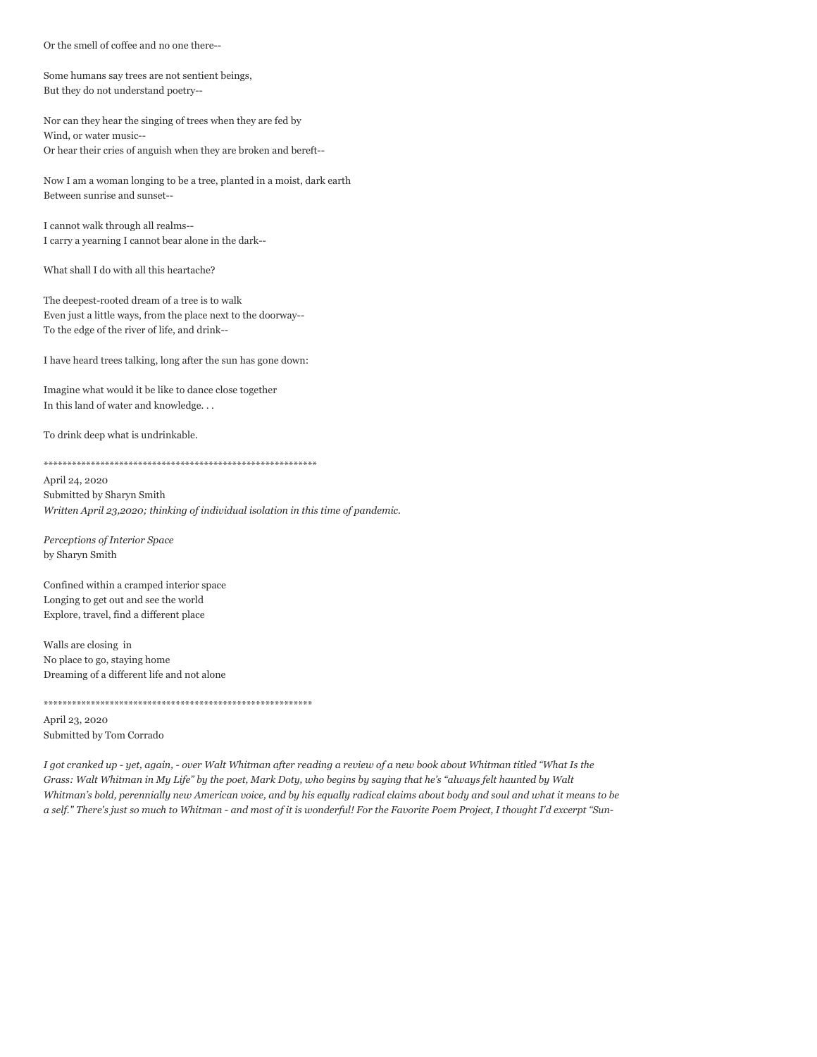Or the smell of coffee and no one there--

Some humans say trees are not sentient beings, But they do not understand poetry--

Nor can they hear the singing of trees when they are fed by Wind, or water music-- Or hear their cries of anguish when they are broken and bereft--

Now I am a woman longing to be a tree, planted in a moist, dark earth Between sunrise and sunset--

I cannot walk through all realms-- I carry a yearning I cannot bear alone in the dark--

What shall I do with all this heartache?

The deepest-rooted dream of a tree is to walk Even just a little ways, from the place next to the doorway-- To the edge of the river of life, and drink--

I have heard trees talking, long after the sun has gone down:

Imagine what would it be like to dance close together In this land of water and knowledge. . .

To drink deep what is undrinkable.

\*\*\*\*\*\*\*\*\*\*\*\*\*\*\*\*\*\*\*\*\*\*\*\*\*\*\*\*\*\*\*\*\*\*\*\*\*\*\*\*\*\*\*\*\*\*\*\*\*\*\*\*\*\*\*\*\*\*

\*\*\*\*\*\*\*\*\*\*\*\*\*\*\*\*\*\*\*\*\*\*\*\*\*\*\*\*\*\*\*\*\*\*\*\*\*\*\*\*\*\*\*\*\*\*\*\*\*\*\*\*\*\*\*\*\*

April 24, 2020 Submitted by Sharyn Smith *Written April 23,2020; thinking of individual isolation in this time of pandemic.*

by Sharyn Smith *Perceptions of Interior Space*

Confined within a cramped interior space Longing to get out and see the world Explore, travel, find a different place

Walls are closing in No place to go, staying home Dreaming of a different life and not alone

April 23, 2020 Submitted by Tom Corrado

*I got cranked up - yet, again, - over Walt Whitman after reading a review of a new book about Whitman titled "What Is the Grass: Walt Whitman in My Life" by the poet, Mark Doty, who begins by saying that he's "always felt haunted by Walt Whitman's bold, perennially new American voice, and by his equally radical claims about body and soul and what it means to be a self." There's just so much to Whitman - and most of it is wonderful! For the Favorite Poem Project, I thought I'd excerpt "Sun-*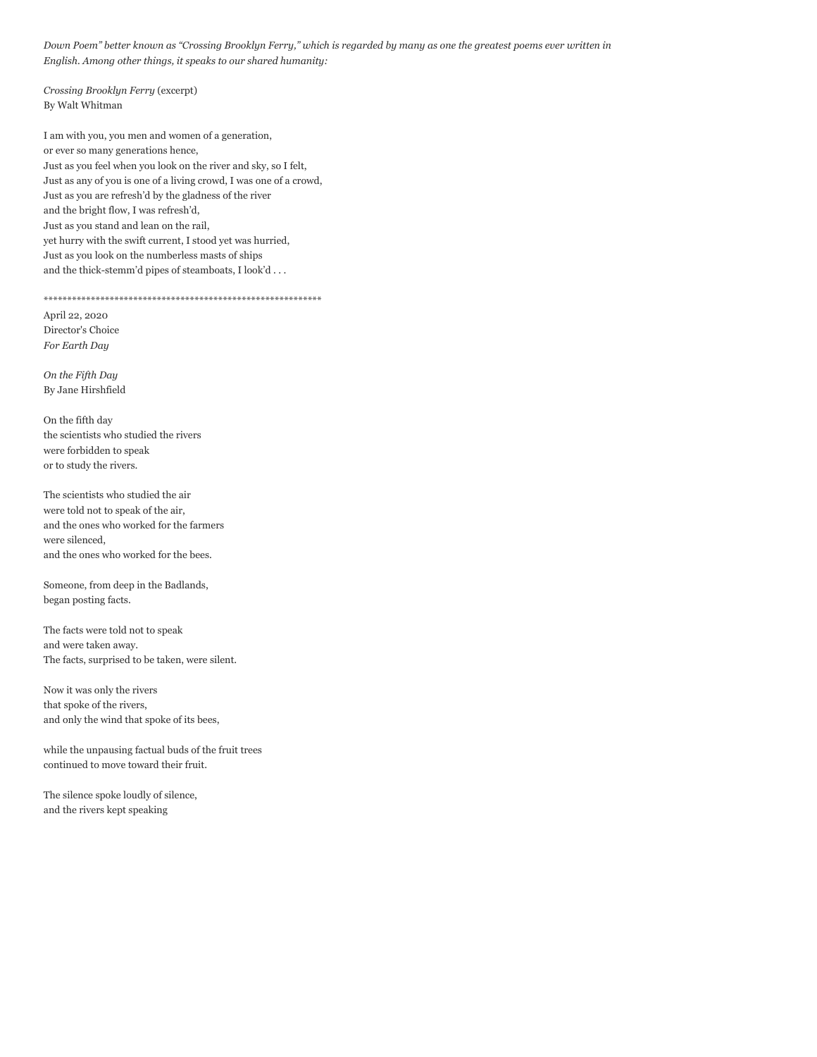*Down Poem" better known as "Crossing Brooklyn Ferry," which is regarded by many as one the greatest poems ever written in English. Among other things, it speaks to our shared humanity:*

*Crossing Brooklyn Ferry* (excerpt) By Walt Whitman

I am with you, you men and women of a generation, or ever so many generations hence, Just as you feel when you look on the river and sky, so I felt, Just as any of you is one of a living crowd, I was one of a crowd, Just as you are refresh'd by the gladness of the river and the bright flow, I was refresh'd, Just as you stand and lean on the rail, yet hurry with the swift current, I stood yet was hurried, Just as you look on the numberless masts of ships and the thick-stemm'd pipes of steamboats, I look'd . . .

\*\*\*\*\*\*\*\*\*\*\*\*\*\*\*\*\*\*\*\*\*\*\*\*\*\*\*\*\*\*\*\*\*\*\*\*\*\*\*\*\*\*\*\*\*\*\*\*\*\*\*\*\*\*\*\*\*\*\*

April 22, 2020 Director's Choice *For Earth Day*

By Jane Hirshfield *On the Fifth Day*

On the fifth day the scientists who studied the rivers were forbidden to speak or to study the rivers.

The scientists who studied the air were told not to speak of the air, and the ones who worked for the farmers were silenced, and the ones who worked for the bees.

Someone, from deep in the Badlands, began posting facts.

The facts were told not to speak and were taken away. The facts, surprised to be taken, were silent.

Now it was only the rivers that spoke of the rivers, and only the wind that spoke of its bees,

while the unpausing factual buds of the fruit trees continued to move toward their fruit.

The silence spoke loudly of silence, and the rivers kept speaking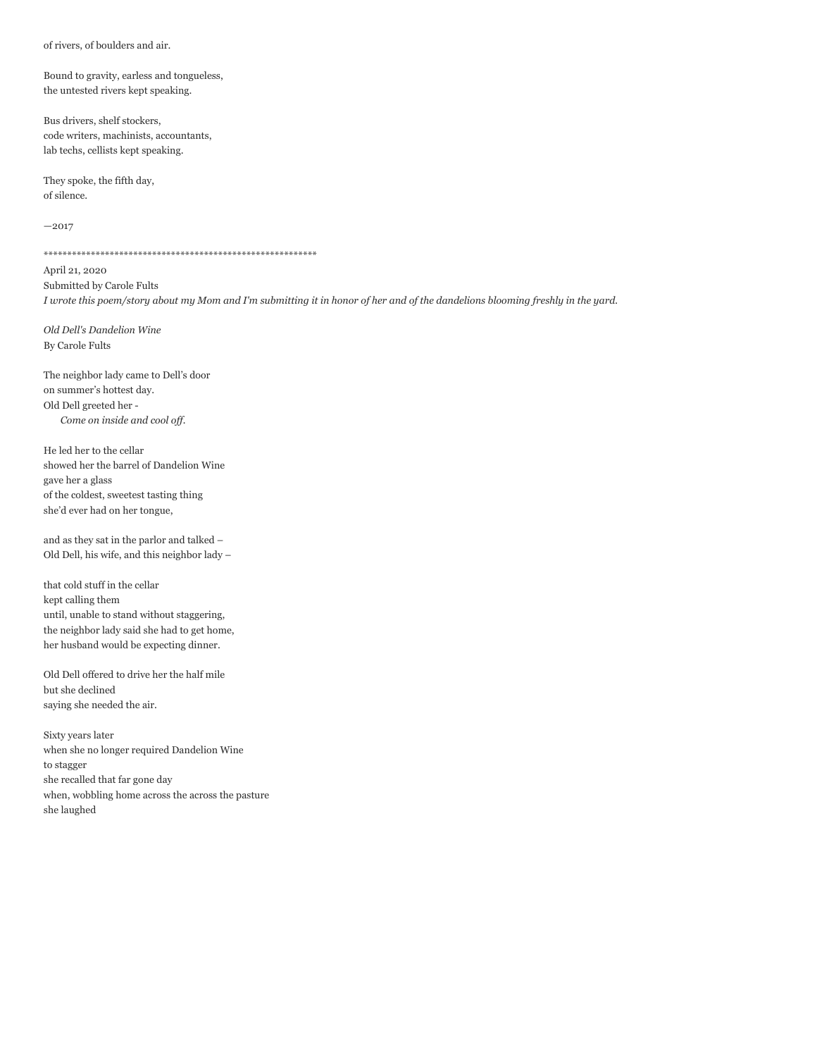#### of rivers, of boulders and air.

Bound to gravity, earless and tongueless, the untested rivers kept speaking.

Bus drivers, shelf stockers, code writers, machinists, accountants, lab techs, cellists kept speaking.

They spoke, the fifth day, of silence.

—2017

\*\*\*\*\*\*\*\*\*\*\*\*\*\*\*\*\*\*\*\*\*\*\*\*\*\*\*\*\*\*\*\*\*\*\*\*\*\*\*\*\*\*\*\*\*\*\*\*\*\*\*\*\*\*\*\*\*\*

April 21, 2020 Submitted by Carole Fults *I wrote this poem/story about my Mom and I'm submitting it in honor of her and of the dandelions blooming freshly in the yard.*

By Carole Fults *Old Dell's Dandelion Wine*

The neighbor lady came to Dell's door on summer's hottest day. Old Dell greeted her -  *Come on inside and cool off.*

He led her to the cellar showed her the barrel of Dandelion Wine gave her a glass of the coldest, sweetest tasting thing she'd ever had on her tongue,

and as they sat in the parlor and talked – Old Dell, his wife, and this neighbor lady –

that cold stuff in the cellar kept calling them until, unable to stand without staggering, the neighbor lady said she had to get home, her husband would be expecting dinner.

Old Dell offered to drive her the half mile but she declined saying she needed the air.

Sixty years later when she no longer required Dandelion Wine to stagger she recalled that far gone day when, wobbling home across the across the pasture she laughed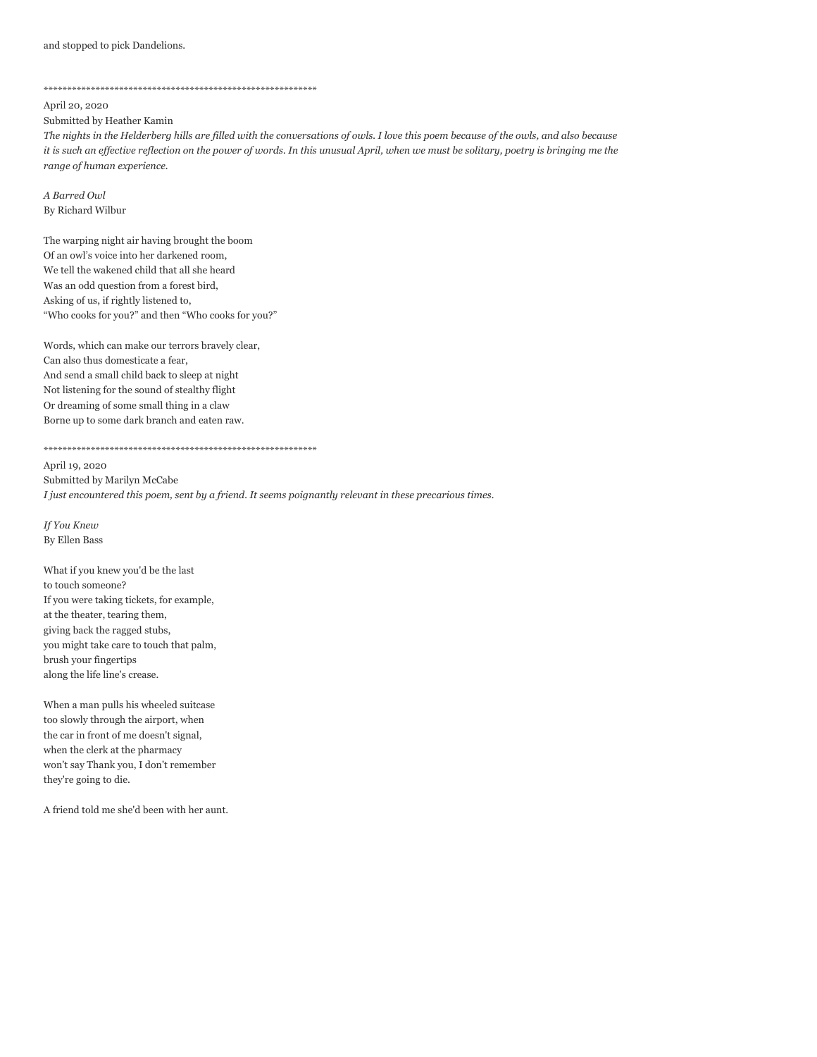and stopped to pick Dandelions.

\*\*\*\*\*\*\*\*\*\*\*\*\*\*\*\*\*\*\*\*\*\*\*\*\*\*\*\*\*\*\*\*\*\*\*\*\*\*\*\*\*\*\*\*\*\*\*\*\*\*\*\*\*\*\*\*\*\*

April 20, 2020

Submitted by Heather Kamin

*The nights in the Helderberg hills are filled with the conversations of owls. I love this poem because of the owls, and also because it is such an effective reflection on the power of words. In this unusual April, when we must be solitary, poetry is bringing me the range of human experience.*

By Richard Wilbur *A Barred Owl*

The warping night air having brought the boom Of an owl's voice into her darkened room, We tell the wakened child that all she heard Was an odd question from a forest bird, Asking of us, if rightly listened to, "Who cooks for you?" and then "Who cooks for you?"

Words, which can make our terrors bravely clear, Can also thus domesticate a fear, And send a small child back to sleep at night Not listening for the sound of stealthy flight Or dreaming of some small thing in a claw Borne up to some dark branch and eaten raw.

\*\*\*\*\*\*\*\*\*\*\*\*\*\*\*\*\*\*\*\*\*\*\*\*\*\*\*\*\*\*\*\*\*\*\*\*\*\*\*\*\*\*\*\*\*\*\*\*\*\*\*\*\*\*\*\*\*\*

April 19, 2020 Submitted by Marilyn McCabe *I just encountered this poem, sent by a friend. It seems poignantly relevant in these precarious times.*

By Ellen Bass *If You Knew*

What if you knew you'd be the last to touch someone? If you were taking tickets, for example, at the theater, tearing them, giving back the ragged stubs, you might take care to touch that palm, brush your fingertips along the life line's crease.

When a man pulls his wheeled suitcase too slowly through the airport, when the car in front of me doesn't signal, when the clerk at the pharmacy won't say Thank you, I don't remember they're going to die.

A friend told me she'd been with her aunt.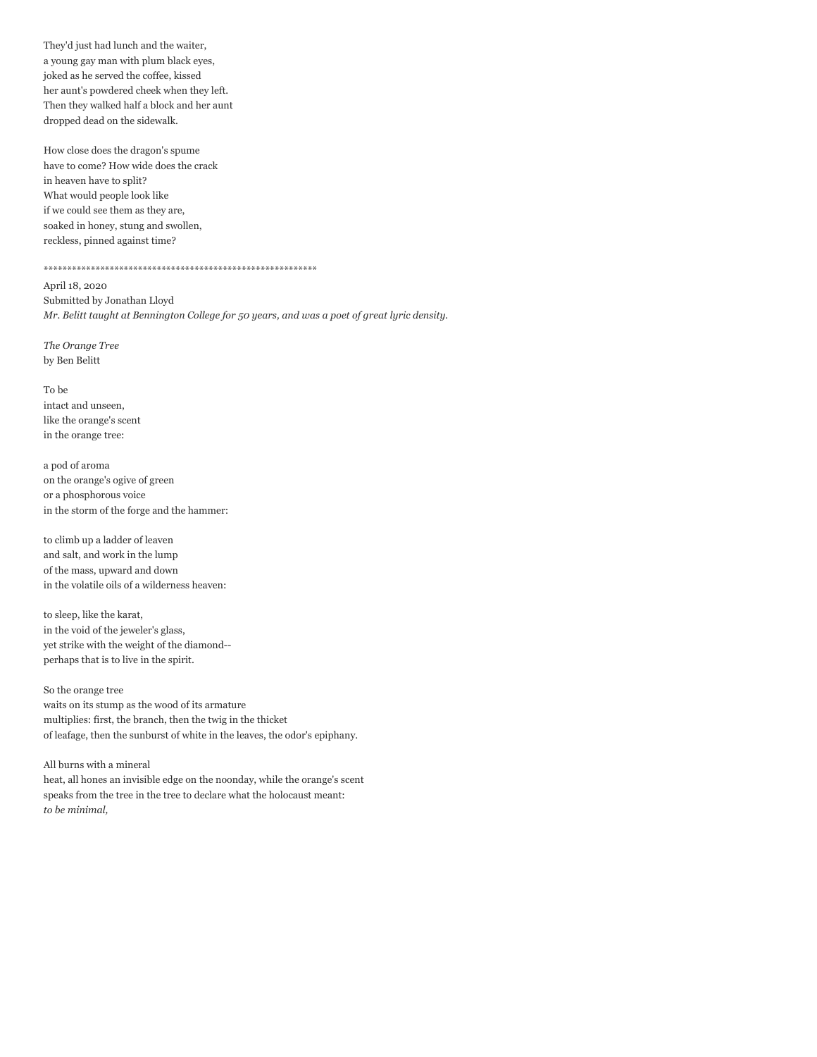They'd just had lunch and the waiter, a young gay man with plum black eyes, joked as he served the coffee, kissed her aunt's powdered cheek when they left. Then they walked half a block and her aunt dropped dead on the sidewalk.

How close does the dragon's spume have to come? How wide does the crack in heaven have to split? What would people look like if we could see them as they are, soaked in honey, stung and swollen, reckless, pinned against time?

\*\*\*\*\*\*\*\*\*\*\*\*\*\*\*\*\*\*\*\*\*\*\*\*\*\*\*\*\*\*\*\*\*\*\*\*\*\*\*\*\*\*\*\*\*\*\*\*\*\*\*\*\*\*\*\*\*\*

April 18, 2020 Submitted by Jonathan Lloyd

*Mr. Belitt taught at Bennington College for 50 years, and was a poet of great lyric density.*

by Ben Belitt *The Orange Tree*

To be intact and unseen, like the orange's scent in the orange tree:

a pod of aroma on the orange's ogive of green or a phosphorous voice in the storm of the forge and the hammer:

to climb up a ladder of leaven and salt, and work in the lump of the mass, upward and down in the volatile oils of a wilderness heaven:

to sleep, like the karat, in the void of the jeweler's glass, yet strike with the weight of the diamond- perhaps that is to live in the spirit.

So the orange tree waits on its stump as the wood of its armature multiplies: first, the branch, then the twig in the thicket of leafage, then the sunburst of white in the leaves, the odor's epiphany.

All burns with a mineral heat, all hones an invisible edge on the noonday, while the orange's scent speaks from the tree in the tree to declare what the holocaust meant: *to be minimal,*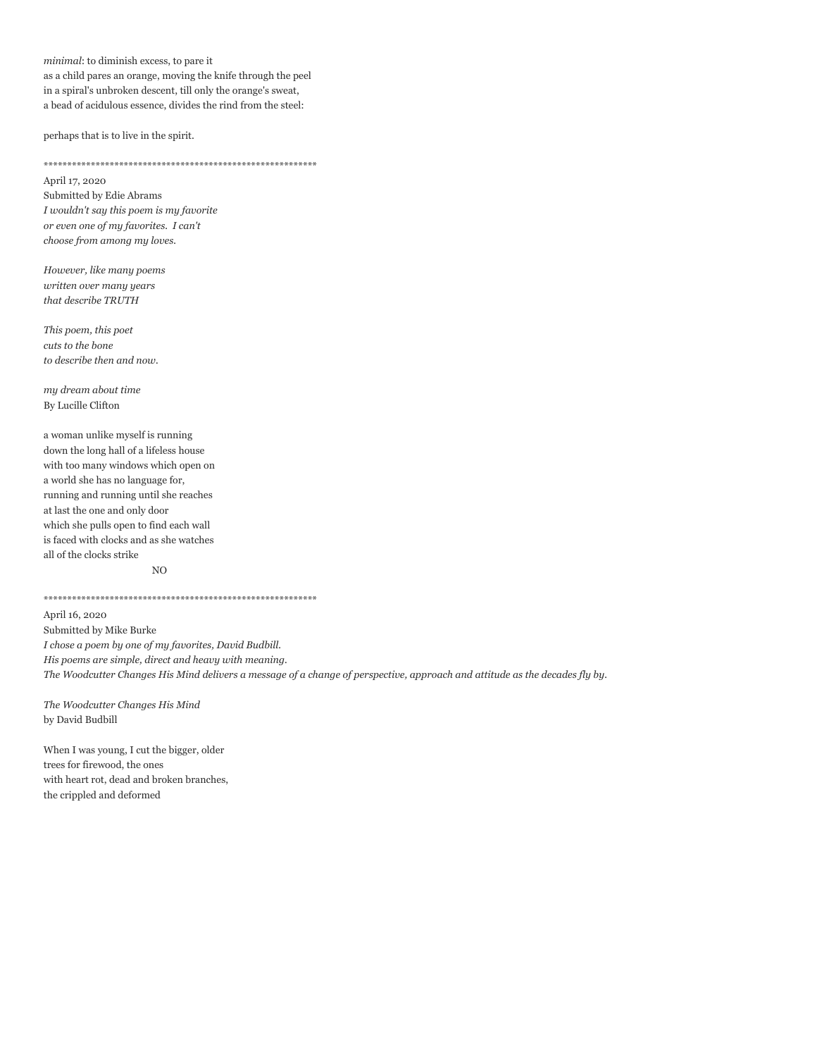minimal: to diminish excess, to pare it as a child pares an orange, moving the knife through the peel in a spiral's unbroken descent, till only the orange's sweat, a bead of acidulous essence, divides the rind from the steel:

perhaps that is to live in the spirit.

\*\*\*\*\*\*\*\*\*\*\*\*\*\*\*\*\*\*\*\*\*\*\*\*\*\*\*\*\*\*\*\*\*\*\*\*\*\*\*\*\*\*\*\*\*\*\*\*\*\*\*\*\*\*\*\*\*\*

April 17, 2020 Submitted by Edie Abrams *I wouldn't say this poem is my favorite or even one of my favorites. I can't choose from among my loves.*

*However, like many poems written over many years that describe TRUTH*

*This poem, this poet cuts to the bone to describe then and now.*

By Lucille Clifton *my dream about time*

a woman unlike myself is running down the long hall of a lifeless house with too many windows which open on a world she has no language for, running and running until she reaches at last the one and only door which she pulls open to find each wall is faced with clocks and as she watches all of the clocks strike NO

\*\*\*\*\*\*\*\*\*\*\*\*\*\*\*\*\*\*\*\*\*\*\*\*\*\*\*\*\*\*\*\*\*\*\*\*\*\*\*\*\*\*\*\*\*\*\*\*\*\*\*\*\*\*\*\*\*\* April 16, 2020 Submitted by Mike Burke *I chose a poem by one of my favorites, David Budbill. His poems are simple, direct and heavy with meaning. The Woodcutter Changes His Mind delivers a message of a change of perspective, approach and attitude as the decades fly by.*

by David Budbill *The Woodcutter Changes His Mind* 

When I was young, I cut the bigger, older trees for firewood, the ones with heart rot, dead and broken branches, the crippled and deformed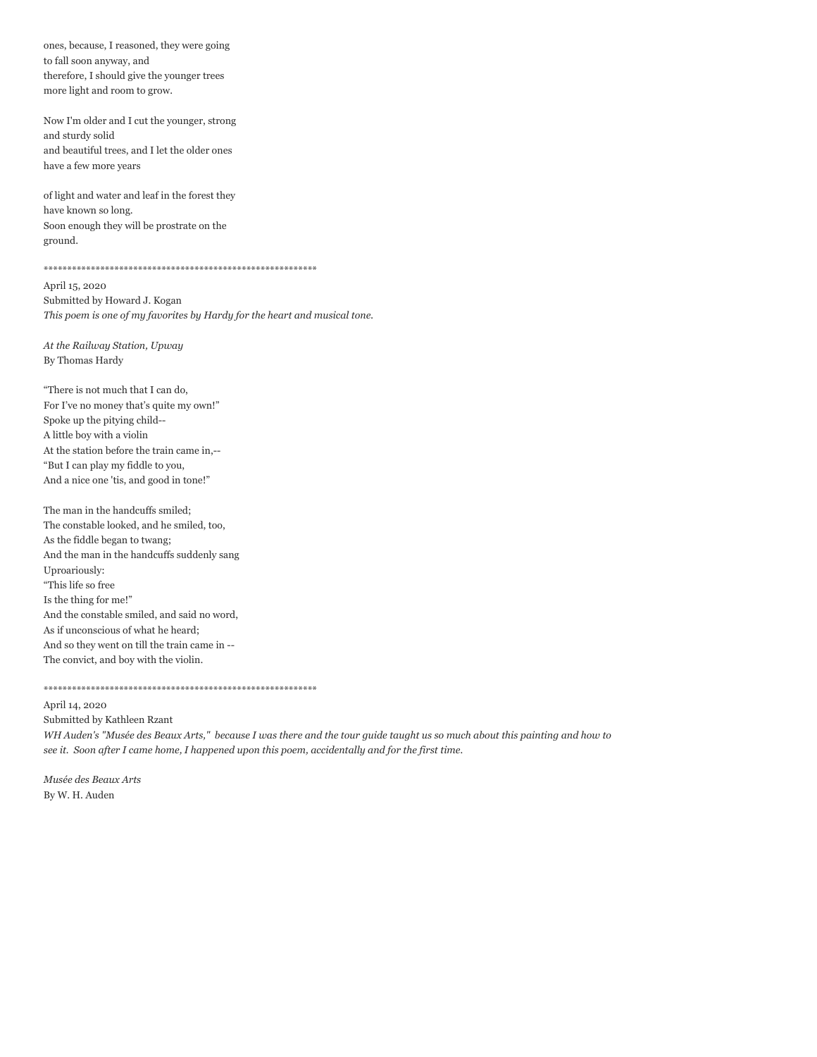ones, because, I reasoned, they were going to fall soon anyway, and therefore, I should give the younger trees more light and room to grow.

Now I'm older and I cut the younger, strong and sturdy solid and beautiful trees, and I let the older ones have a few more years

of light and water and leaf in the forest they have known so long. Soon enough they will be prostrate on the ground.

\*\*\*\*\*\*\*\*\*\*\*\*\*\*\*\*\*\*\*\*\*\*\*\*\*\*\*\*\*\*\*\*\*\*\*\*\*\*\*\*\*\*\*\*\*\*\*\*\*\*\*\*\*\*\*\*\*\*

April 15, 2020 Submitted by Howard J. Kogan *This poem is one of my favorites by Hardy for the heart and musical tone.* 

By Thomas Hardy *At the Railway Station, Upway*

"There is not much that I can do, For I've no money that's quite my own!" Spoke up the pitying child-- A little boy with a violin At the station before the train came in,-- "But I can play my fiddle to you, And a nice one 'tis, and good in tone!"

The man in the handcuffs smiled; The constable looked, and he smiled, too, As the fiddle began to twang; And the man in the handcuffs suddenly sang Uproariously: "This life so free Is the thing for me!" And the constable smiled, and said no word, As if unconscious of what he heard; And so they went on till the train came in -- The convict, and boy with the violin.

\*\*\*\*\*\*\*\*\*\*\*\*\*\*\*\*\*\*\*\*\*\*\*\*\*\*\*\*\*\*\*\*\*\*\*\*\*\*\*\*\*\*\*\*\*\*\*\*\*\*\*\*\*\*\*\*\*\*

April 14, 2020

Submitted by Kathleen Rzant

*WH Auden's "Musée des Beaux Arts," because I was there and the tour guide taught us so much about this painting and how to see it. Soon after I came home, I happened upon this poem, accidentally and for the first time.*

By W. H. Auden *Musée des Beaux Arts*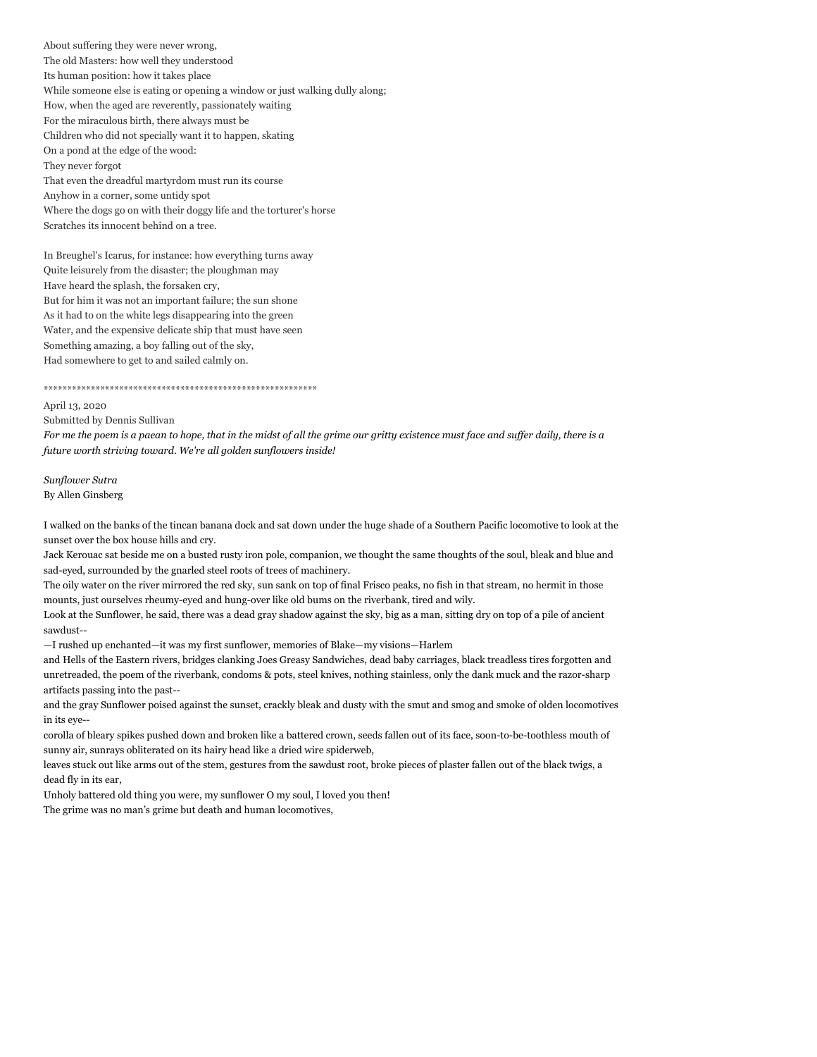About suffering they were never wrong, The old Masters: how well they understood Its human position: how it takes place While someone else is eating or opening a window or just walking dully along; How, when the aged are reverently, passionately waiting For the miraculous birth, there always must be Children who did not specially want it to happen, skating On a pond at the edge of the wood: They never forgot That even the dreadful martyrdom must run its course Anyhow in a corner, some untidy spot Where the dogs go on with their doggy life and the torturer's horse

Scratches its innocent behind on a tree.

In Breughel's Icarus, for instance: how everything turns away Quite leisurely from the disaster; the ploughman may Have heard the splash, the forsaken cry, But for him it was not an important failure; the sun shone As it had to on the white legs disappearing into the green Water, and the expensive delicate ship that must have seen Something amazing, a boy falling out of the sky, Had somewhere to get to and sailed calmly on.

\*\*\*\*\*\*\*\*\*\*\*\*\*\*\*\*\*\*\*\*\*\*\*\*\*\*\*\*\*\*\*\*\*\*\*\*\*\*\*\*\*\*\*\*\*\*\*\*\*\*\*\*\*\*\*\*\*\*

April 13, 2020

Submitted by Dennis Sullivan

*For me the poem is a paean to hope, that in the midst of all the grime our gritty existence must face and suffer daily, there is a future worth striving toward. We're all golden sunflowers inside!*

By Allen Ginsberg *Sunflower Sutra*

I walked on the banks of the tincan banana dock and sat down under the huge shade of a Southern Pacific locomotive to look at the sunset over the box house hills and cry.

Jack Kerouac sat beside me on a busted rusty iron pole, companion, we thought the same thoughts of the soul, bleak and blue and sad-eyed, surrounded by the gnarled steel roots of trees of machinery.

The oily water on the river mirrored the red sky, sun sank on top of final Frisco peaks, no fish in that stream, no hermit in those mounts, just ourselves rheumy-eyed and hung-over like old bums on the riverbank, tired and wily.

Look at the Sunflower, he said, there was a dead gray shadow against the sky, big as a man, sitting dry on top of a pile of ancient sawdust--

—I rushed up enchanted—it was my first sunflower, memories of Blake—my visions—Harlem

and Hells of the Eastern rivers, bridges clanking Joes Greasy Sandwiches, dead baby carriages, black treadless tires forgotten and unretreaded, the poem of the riverbank, condoms & pots, steel knives, nothing stainless, only the dank muck and the razor-sharp artifacts passing into the past--

and the gray Sunflower poised against the sunset, crackly bleak and dusty with the smut and smog and smoke of olden locomotives in its eye--

corolla of bleary spikes pushed down and broken like a battered crown, seeds fallen out of its face, soon-to-be-toothless mouth of sunny air, sunrays obliterated on its hairy head like a dried wire spiderweb,

leaves stuck out like arms out of the stem, gestures from the sawdust root, broke pieces of plaster fallen out of the black twigs, a dead fly in its ear,

Unholy battered old thing you were, my sunflower O my soul, I loved you then!

The grime was no man's grime but death and human locomotives,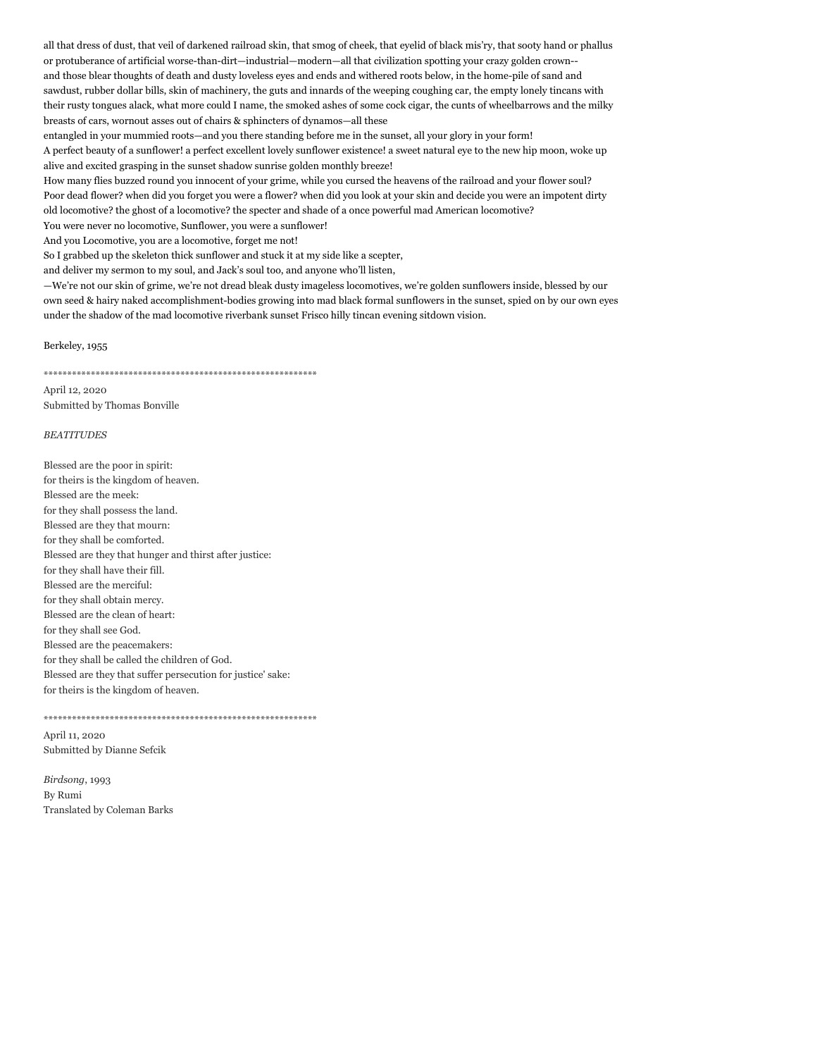all that dress of dust, that veil of darkened railroad skin, that smog of cheek, that eyelid of black mis'ry, that sooty hand or phallus or protuberance of artificial worse-than-dirt—industrial—modern—all that civilization spotting your crazy golden crown- and those blear thoughts of death and dusty loveless eyes and ends and withered roots below, in the home-pile of sand and sawdust, rubber dollar bills, skin of machinery, the guts and innards of the weeping coughing car, the empty lonely tincans with their rusty tongues alack, what more could I name, the smoked ashes of some cock cigar, the cunts of wheelbarrows and the milky breasts of cars, wornout asses out of chairs & sphincters of dynamos—all these

entangled in your mummied roots—and you there standing before me in the sunset, all your glory in your form! A perfect beauty of a sunflower! a perfect excellent lovely sunflower existence! a sweet natural eye to the new hip moon, woke up alive and excited grasping in the sunset shadow sunrise golden monthly breeze!

How many flies buzzed round you innocent of your grime, while you cursed the heavens of the railroad and your flower soul? Poor dead flower? when did you forget you were a flower? when did you look at your skin and decide you were an impotent dirty old locomotive? the ghost of a locomotive? the specter and shade of a once powerful mad American locomotive?

You were never no locomotive, Sunflower, you were a sunflower!

And you Locomotive, you are a locomotive, forget me not!

So I grabbed up the skeleton thick sunflower and stuck it at my side like a scepter,

and deliver my sermon to my soul, and Jack's soul too, and anyone who'll listen,

—We're not our skin of grime, we're not dread bleak dusty imageless locomotives, we're golden sunflowers inside, blessed by our own seed & hairy naked accomplishment-bodies growing into mad black formal sunflowers in the sunset, spied on by our own eyes under the shadow of the mad locomotive riverbank sunset Frisco hilly tincan evening sitdown vision.

Berkeley, 1955

\*\*\*\*\*\*\*\*\*\*\*\*\*\*\*\*\*\*\*\*\*\*\*\*\*\*\*\*\*\*\*\*\*\*\*\*\*\*\*\*\*\*\*\*\*\*\*\*\*\*\*\*\*\*\*\*\*\*

April 12, 2020 Submitted by Thomas Bonville

#### *BEATITUDES*

Blessed are the poor in spirit: for theirs is the kingdom of heaven. Blessed are the meek: for they shall possess the land. Blessed are they that mourn: for they shall be comforted. Blessed are they that hunger and thirst after justice: for they shall have their fill. Blessed are the merciful: for they shall obtain mercy. Blessed are the clean of heart: for they shall see God. Blessed are the peacemakers: for they shall be called the children of God. Blessed are they that suffer persecution for justice' sake: for theirs is the kingdom of heaven.

\*\*\*\*\*\*\*\*\*\*\*\*\*\*\*\*\*\*\*\*\*\*\*\*\*\*\*\*\*\*\*\*\*\*\*\*\*\*\*\*\*\*\*\*\*\*\*\*\*\*\*\*\*\*\*\*\*\*

April 11, 2020 Submitted by Dianne Sefcik

, 1993 *Birdsong*By Rumi Translated by Coleman Barks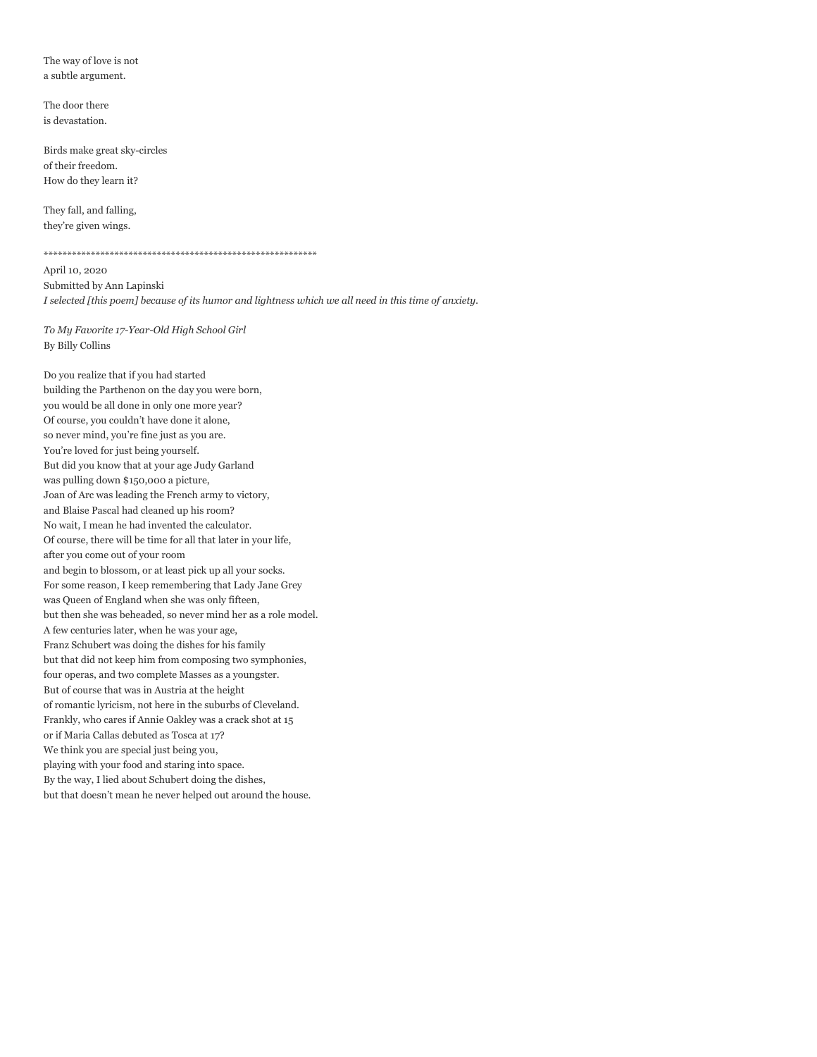The way of love is not a subtle argument.

The door there is devastation.

Birds make great sky-circles of their freedom. How do they learn it?

They fall, and falling, they're given wings.

\*\*\*\*\*\*\*\*\*\*\*\*\*\*\*\*\*\*\*\*\*\*\*\*\*\*\*\*\*\*\*\*\*\*\*\*\*\*\*\*\*\*\*\*\*\*\*\*\*\*\*\*\*\*\*\*\*\*

April 10, 2020 Submitted by Ann Lapinski *I selected [this poem] because of its humor and lightness which we all need in this time of anxiety.*

By Billy Collins *To My Favorite 17-Year-Old High School Girl*

Do you realize that if you had started building the Parthenon on the day you were born, you would be all done in only one more year? Of course, you couldn't have done it alone, so never mind, you're fine just as you are. You're loved for just being yourself. But did you know that at your age Judy Garland was pulling down \$150,000 a picture, Joan of Arc was leading the French army to victory, and Blaise Pascal had cleaned up his room? No wait, I mean he had invented the calculator. Of course, there will be time for all that later in your life, after you come out of your room and begin to blossom, or at least pick up all your socks. For some reason, I keep remembering that Lady Jane Grey was Queen of England when she was only fifteen, but then she was beheaded, so never mind her as a role model. A few centuries later, when he was your age, Franz Schubert was doing the dishes for his family but that did not keep him from composing two symphonies, four operas, and two complete Masses as a youngster. But of course that was in Austria at the height of romantic lyricism, not here in the suburbs of Cleveland. Frankly, who cares if Annie Oakley was a crack shot at 15 or if Maria Callas debuted as Tosca at 17? We think you are special just being you, playing with your food and staring into space. By the way, I lied about Schubert doing the dishes, but that doesn't mean he never helped out around the house.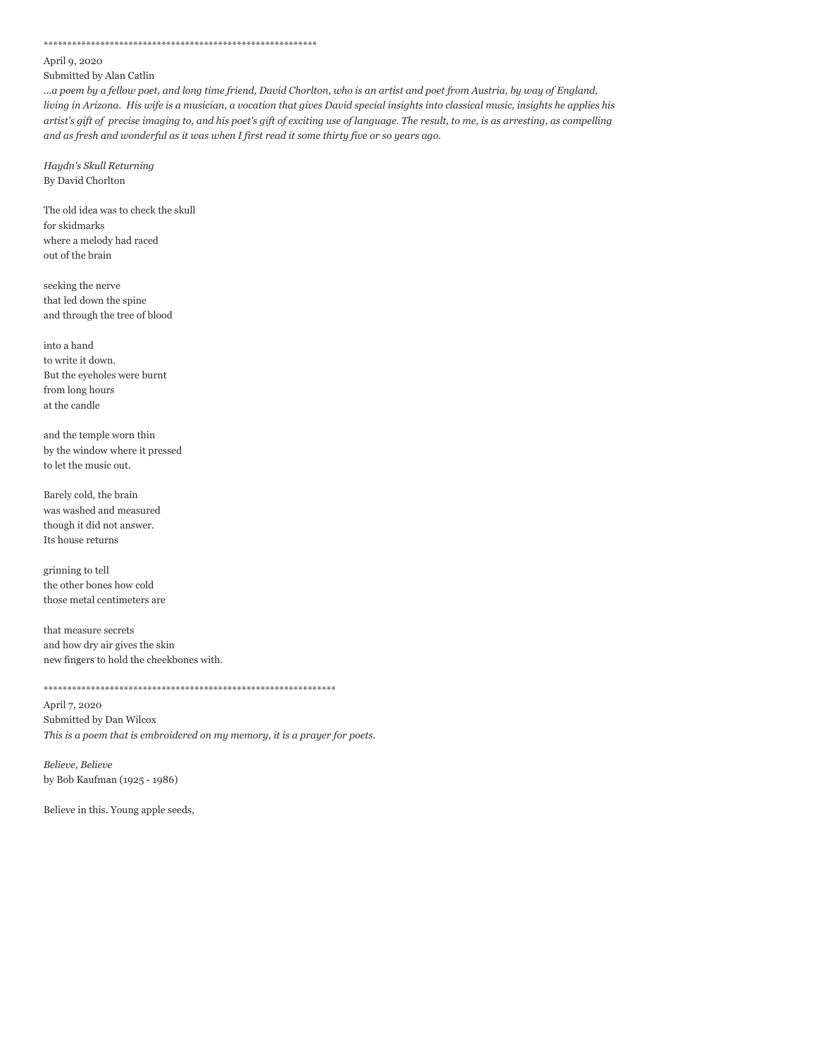\*\*\*\*\*\*\*\*\*\*\*\*\*\*\*\*\*\*\*\*\*\*\*\*\*\*\*\*\*\*\*\*\*\*\*\*\*\*\*\*\*\*\*\*\*\*\*\*\*\*\*\*\*\*\*\*\*\*

#### April 9, 2020

Submitted by Alan Catlin

*...a poem by a fellow poet, and long time friend, David Chorlton, who is an artist and poet from Austria, by way of England, living in Arizona. His wife is a musician, a vocation that gives David special insights into classical music, insights he applies his artist's gift of precise imaging to, and his poet's gift of exciting use of language. The result, to me, is as arresting, as compelling and as fresh and wonderful as it was when I first read it some thirty five or so years ago.*

By David Chorlton *Haydn's Skull Returning*

The old idea was to check the skull for skidmarks where a melody had raced out of the brain

seeking the nerve that led down the spine and through the tree of blood

into a hand to write it down. But the eyeholes were burnt from long hours at the candle

and the temple worn thin by the window where it pressed to let the music out.

Barely cold, the brain was washed and measured though it did not answer. Its house returns

grinning to tell the other bones how cold those metal centimeters are

that measure secrets and how dry air gives the skin new fingers to hold the cheekbones with.

\*\*\*\*\*\*\*\*\*\*\*\*\*\*\*\*\*\*\*\*\*\*\*\*\*\*\*\*\*\*\*\*\*\*\*\*\*\*\*\*\*\*\*\*\*\*\*\*\*\*\*\*\*\*\*\*\*\*\*\*\*\*

April 7, 2020 Submitted by Dan Wilcox *This is a poem that is embroidered on my memory, it is a prayer for poets.*

by Bob Kaufman (1925 - 1986) *Believe, Believe*

Believe in this. Young apple seeds,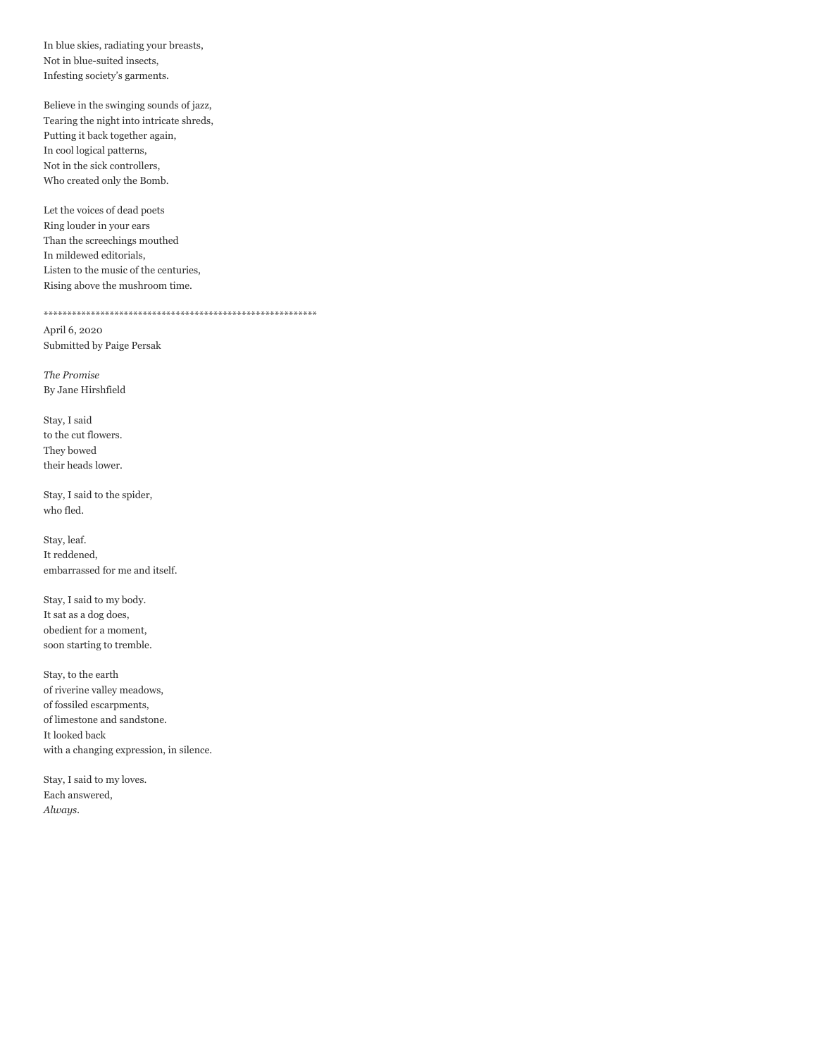In blue skies, radiating your breasts, Not in blue-suited insects, Infesting society's garments.

Believe in the swinging sounds of jazz, Tearing the night into intricate shreds, Putting it back together again, In cool logical patterns, Not in the sick controllers, Who created only the Bomb.

Let the voices of dead poets Ring louder in your ears Than the screechings mouthed In mildewed editorials, Listen to the music of the centuries, Rising above the mushroom time.

\*\*\*\*\*\*\*\*\*\*\*\*\*\*\*\*\*\*\*\*\*\*\*\*\*\*\*\*\*\*\*\*\*\*\*\*\*\*\*\*\*\*\*\*\*\*\*\*\*\*\*\*\*\*\*\*\*\*

April 6, 2020 Submitted by Paige Persak

By Jane Hirshfield *The Promise*

Stay, I said to the cut flowers. They bowed their heads lower.

Stay, I said to the spider, who fled.

Stay, leaf. It reddened, embarrassed for me and itself.

Stay, I said to my body. It sat as a dog does, obedient for a moment, soon starting to tremble.

Stay, to the earth of riverine valley meadows, of fossiled escarpments, of limestone and sandstone. It looked back with a changing expression, in silence.

Stay, I said to my loves. Each answered, *Always.*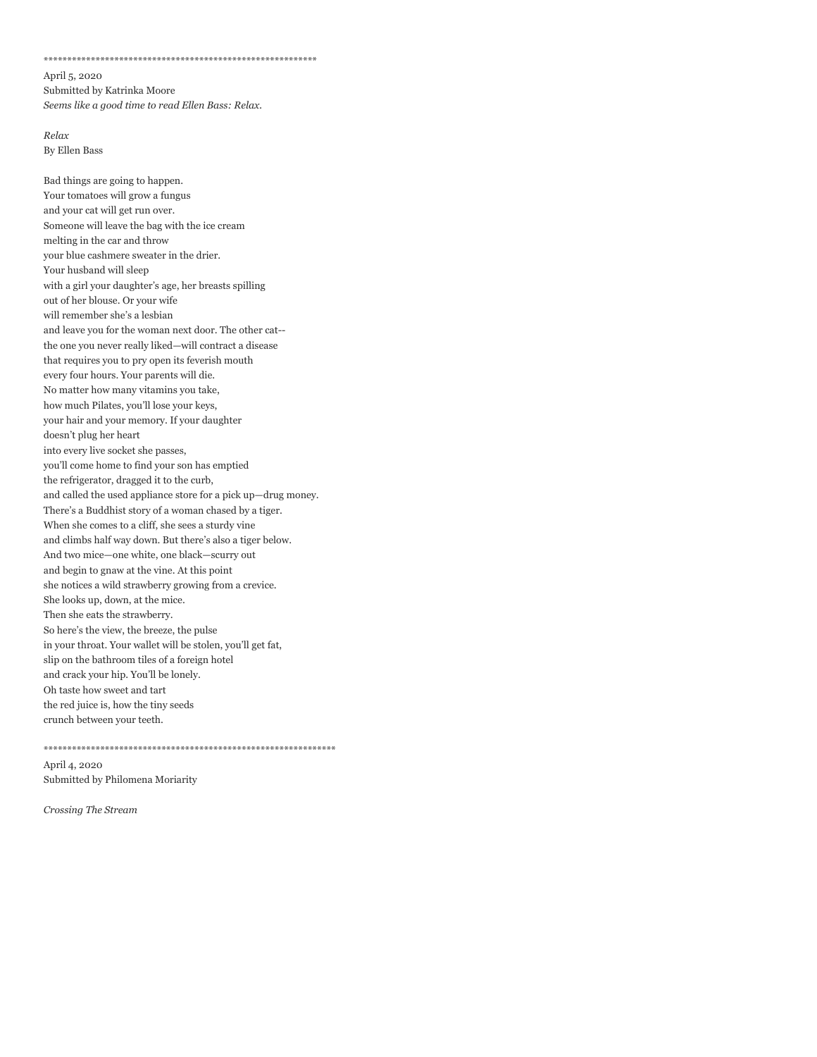\*\*\*\*\*\*\*\*\*\*\*\*\*\*\*\*\*\*\*\*\*\*\*\*\*\*\*\*\*\*\*\*\*\*\*\*\*\*\*\*\*\*\*\*\*\*\*\*\*\*\*\*\*\*\*\*\*\*

April 5, 2020 Submitted by Katrinka Moore *Seems like a good time to read Ellen Bass: Relax.*

By Ellen Bass *Relax* 

Bad things are going to happen. Your tomatoes will grow a fungus and your cat will get run over. Someone will leave the bag with the ice cream melting in the car and throw your blue cashmere sweater in the drier. Your husband will sleep with a girl your daughter's age, her breasts spilling out of her blouse. Or your wife will remember she's a lesbian and leave you for the woman next door. The other cat- the one you never really liked—will contract a disease that requires you to pry open its feverish mouth every four hours. Your parents will die. No matter how many vitamins you take, how much Pilates, you'll lose your keys, your hair and your memory. If your daughter doesn't plug her heart into every live socket she passes, you'll come home to find your son has emptied the refrigerator, dragged it to the curb, and called the used appliance store for a pick up—drug money. There's a Buddhist story of a woman chased by a tiger. When she comes to a cliff, she sees a sturdy vine and climbs half way down. But there's also a tiger below. And two mice—one white, one black—scurry out and begin to gnaw at the vine. At this point she notices a wild strawberry growing from a crevice. She looks up, down, at the mice. Then she eats the strawberry. So here's the view, the breeze, the pulse in your throat. Your wallet will be stolen, you'll get fat, slip on the bathroom tiles of a foreign hotel and crack your hip. You'll be lonely. Oh taste how sweet and tart the red juice is, how the tiny seeds crunch between your teeth.

April 4, 2020 Submitted by Philomena Moriarity

\*\*\*\*\*\*\*\*\*\*\*\*\*\*\*\*\*\*\*\*\*\*\*\*\*\*\*\*\*\*\*\*\*\*\*\*\*\*\*\*\*\*\*\*\*\*\*\*\*\*\*\*\*\*\*\*\*\*\*\*\*\*

*Crossing The Stream*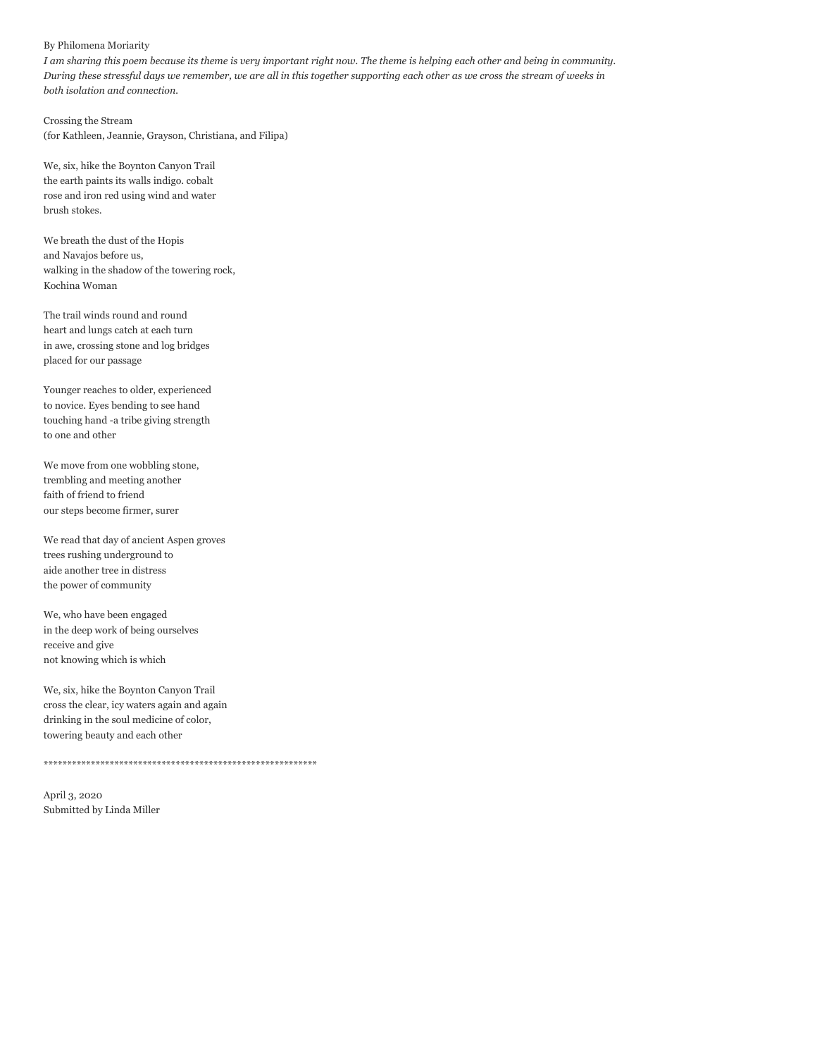### By Philomena Moriarity

*I am sharing this poem because its theme is very important right now. The theme is helping each other and being in community. During these stressful days we remember, we are all in this together supporting each other as we cross the stream of weeks in both isolation and connection.*

Crossing the Stream (for Kathleen, Jeannie, Grayson, Christiana, and Filipa)

We, six, hike the Boynton Canyon Trail the earth paints its walls indigo. cobalt rose and iron red using wind and water brush stokes.

We breath the dust of the Hopis and Navajos before us, walking in the shadow of the towering rock, Kochina Woman

The trail winds round and round heart and lungs catch at each turn in awe, crossing stone and log bridges placed for our passage

Younger reaches to older, experienced to novice. Eyes bending to see hand touching hand -a tribe giving strength to one and other

We move from one wobbling stone, trembling and meeting another faith of friend to friend our steps become firmer, surer

We read that day of ancient Aspen groves trees rushing underground to aide another tree in distress the power of community

We, who have been engaged in the deep work of being ourselves receive and give not knowing which is which

We, six, hike the Boynton Canyon Trail cross the clear, icy waters again and again drinking in the soul medicine of color, towering beauty and each other

\*\*\*\*\*\*\*\*\*\*\*\*\*\*\*\*\*\*\*\*\*\*\*\*\*\*\*\*\*\*\*\*\*\*\*\*\*\*\*\*\*\*\*\*\*\*\*\*\*\*\*\*\*\*\*\*\*\*

April 3, 2020 Submitted by Linda Miller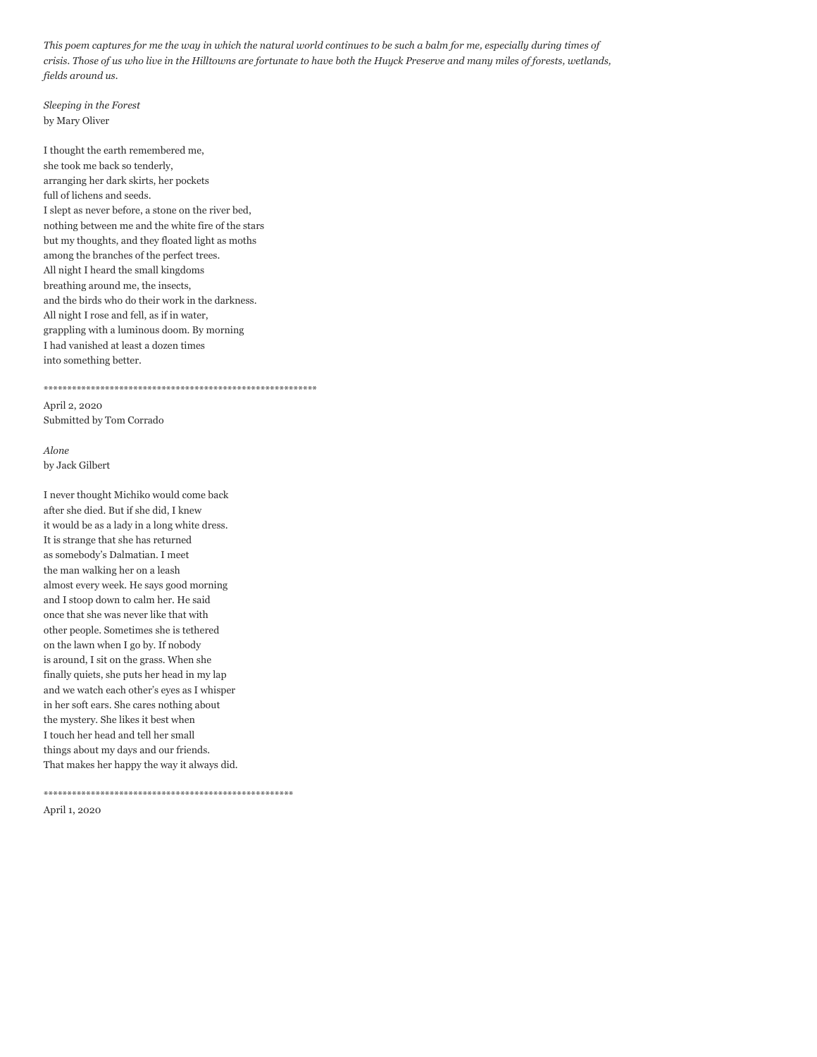*This poem captures for me the way in which the natural world continues to be such a balm for me, especially during times of crisis. Those of us who live in the Hilltowns are fortunate to have both the Huyck Preserve and many miles of forests, wetlands, fields around us.*

by Mary Oliver *Sleeping in the Forest*

I thought the earth remembered me, she took me back so tenderly, arranging her dark skirts, her pockets full of lichens and seeds. I slept as never before, a stone on the river bed, nothing between me and the white fire of the stars but my thoughts, and they floated light as moths among the branches of the perfect trees. All night I heard the small kingdoms breathing around me, the insects, and the birds who do their work in the darkness. All night I rose and fell, as if in water, grappling with a luminous doom. By morning I had vanished at least a dozen times into something better.

\*\*\*\*\*\*\*\*\*\*\*\*\*\*\*\*\*\*\*\*\*\*\*\*\*\*\*\*\*\*\*\*\*\*\*\*\*\*\*\*\*\*\*\*\*\*\*\*\*\*\*\*\*\*\*\*\*\*

April 2, 2020 Submitted by Tom Corrado

by Jack Gilbert *Alone*

I never thought Michiko would come back after she died. But if she did, I knew it would be as a lady in a long white dress. It is strange that she has returned as somebody's Dalmatian. I meet the man walking her on a leash almost every week. He says good morning and I stoop down to calm her. He said once that she was never like that with other people. Sometimes she is tethered on the lawn when I go by. If nobody is around, I sit on the grass. When she finally quiets, she puts her head in my lap and we watch each other's eyes as I whisper in her soft ears. She cares nothing about the mystery. She likes it best when I touch her head and tell her small things about my days and our friends. That makes her happy the way it always did.

\*\*\*\*\*\*\*\*\*\*\*\*\*\*\*\*\*\*\*\*\*\*\*\*\*\*\*\*\*\*\*\*\*\*\*\*\*\*\*\*\*\*\*\*\*\*\*\*\*\*\*\*\*

April 1, 2020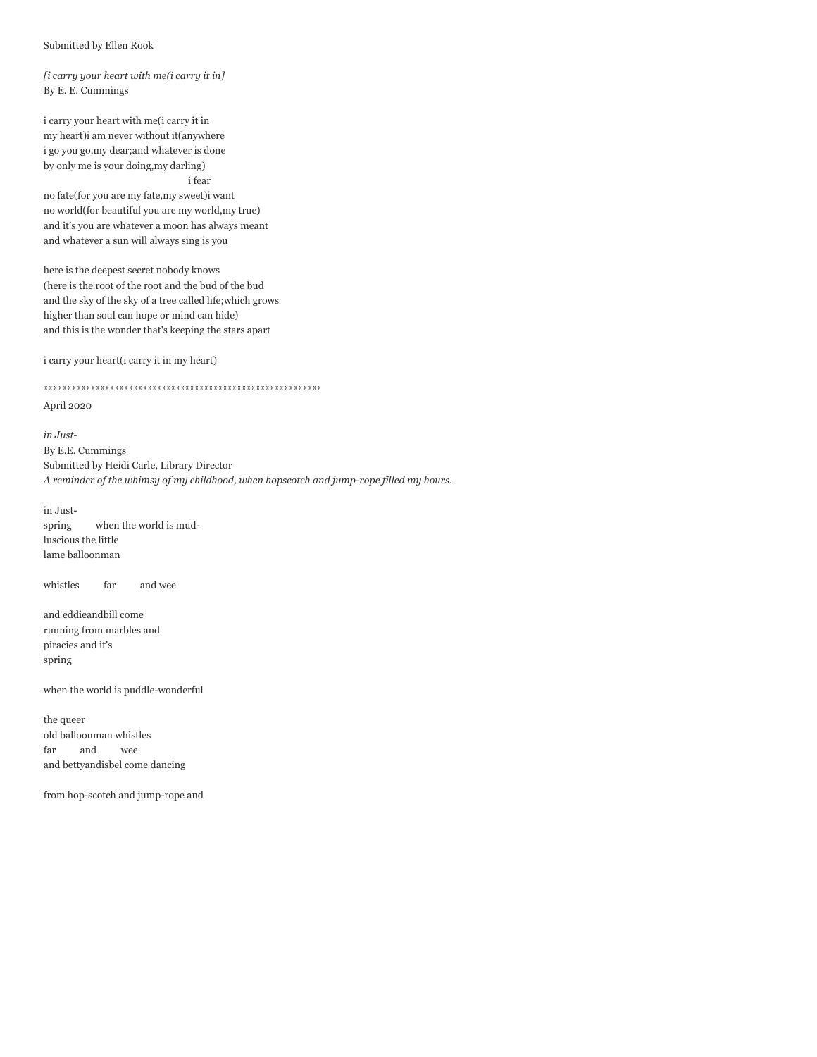#### Submitted by Ellen Rook

By E. E. Cummings *[i carry your heart with me(i carry it in]*

i carry your heart with me(i carry it in my heart)i am never without it(anywhere i go you go,my dear;and whatever is done by only me is your doing,my darling) i fear no fate(for you are my fate,my sweet)i want

no world(for beautiful you are my world,my true) and it's you are whatever a moon has always meant and whatever a sun will always sing is you

here is the deepest secret nobody knows (here is the root of the root and the bud of the bud and the sky of the sky of a tree called life;which grows higher than soul can hope or mind can hide) and this is the wonder that's keeping the stars apart

i carry your heart(i carry it in my heart)

#### \*\*\*\*\*\*\*\*\*\*\*\*\*\*\*\*\*\*\*\*\*\*\*\*\*\*\*\*\*\*\*\*\*\*\*\*\*\*\*\*\*\*\*\*\*\*\*\*\*\*\*\*\*\*\*\*\*\*\*

April 2020

By E.E. Cummings Submitted by Heidi Carle, Library Director *in Just-A reminder of the whimsy of my childhood, when hopscotch and jump-rope filled my hours.* 

in Justspring when the world is mudluscious the little lame balloonman

whistles far and wee

and eddieandbill come running from marbles and piracies and it's spring

when the world is puddle-wonderful

the queer old balloonman whistles far and wee and bettyandisbel come dancing

from hop-scotch and jump-rope and